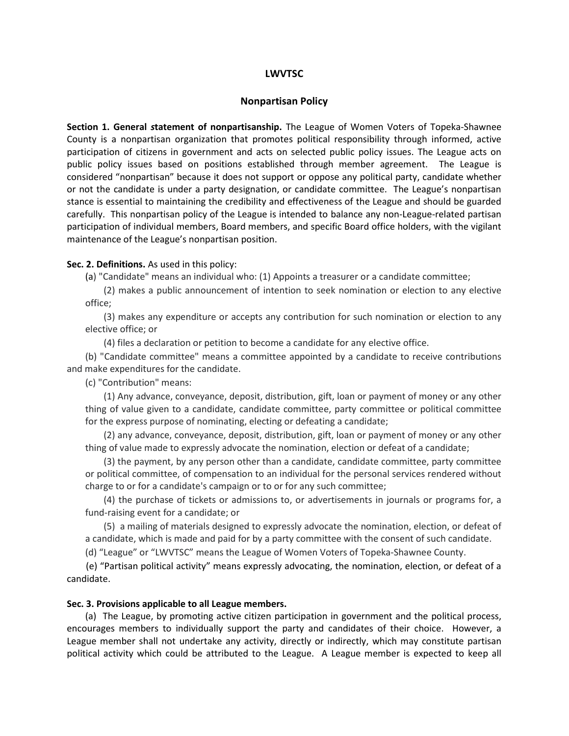# LWVTSC

### Nonpartisan Policy

Section 1. General statement of nonpartisanship. The League of Women Voters of Topeka-Shawnee County is a nonpartisan organization that promotes political responsibility through informed, active participation of citizens in government and acts on selected public policy issues. The League acts on public policy issues based on positions established through member agreement. The League is considered "nonpartisan" because it does not support or oppose any political party, candidate whether or not the candidate is under a party designation, or candidate committee. The League's nonpartisan stance is essential to maintaining the credibility and effectiveness of the League and should be guarded carefully. This nonpartisan policy of the League is intended to balance any non-League-related partisan participation of individual members, Board members, and specific Board office holders, with the vigilant maintenance of the League's nonpartisan position.

#### Sec. 2. Definitions. As used in this policy:

(a) "Candidate" means an individual who: (1) Appoints a treasurer or a candidate committee;

(2) makes a public announcement of intention to seek nomination or election to any elective office;

(3) makes any expenditure or accepts any contribution for such nomination or election to any elective office; or

(4) files a declaration or petition to become a candidate for any elective office.

(b) "Candidate committee" means a committee appointed by a candidate to receive contributions and make expenditures for the candidate.

(c) "Contribution" means:

(1) Any advance, conveyance, deposit, distribution, gift, loan or payment of money or any other thing of value given to a candidate, candidate committee, party committee or political committee for the express purpose of nominating, electing or defeating a candidate;

(2) any advance, conveyance, deposit, distribution, gift, loan or payment of money or any other thing of value made to expressly advocate the nomination, election or defeat of a candidate;

(3) the payment, by any person other than a candidate, candidate committee, party committee or political committee, of compensation to an individual for the personal services rendered without charge to or for a candidate's campaign or to or for any such committee;

(4) the purchase of tickets or admissions to, or advertisements in journals or programs for, a fund-raising event for a candidate; or

(5) a mailing of materials designed to expressly advocate the nomination, election, or defeat of a candidate, which is made and paid for by a party committee with the consent of such candidate.

(d) "League" or "LWVTSC" means the League of Women Voters of Topeka-Shawnee County.

 (e) "Partisan political activity" means expressly advocating, the nomination, election, or defeat of a candidate.

# Sec. 3. Provisions applicable to all League members.

(a) The League, by promoting active citizen participation in government and the political process, encourages members to individually support the party and candidates of their choice. However, a League member shall not undertake any activity, directly or indirectly, which may constitute partisan political activity which could be attributed to the League. A League member is expected to keep all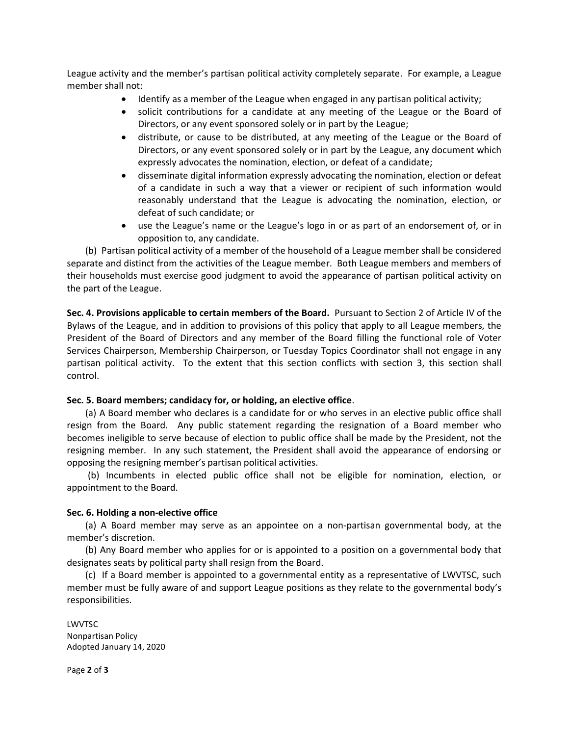League activity and the member's partisan political activity completely separate. For example, a League member shall not:

- Identify as a member of the League when engaged in any partisan political activity;
- solicit contributions for a candidate at any meeting of the League or the Board of Directors, or any event sponsored solely or in part by the League;
- distribute, or cause to be distributed, at any meeting of the League or the Board of Directors, or any event sponsored solely or in part by the League, any document which expressly advocates the nomination, election, or defeat of a candidate;
- disseminate digital information expressly advocating the nomination, election or defeat of a candidate in such a way that a viewer or recipient of such information would reasonably understand that the League is advocating the nomination, election, or defeat of such candidate; or
- use the League's name or the League's logo in or as part of an endorsement of, or in opposition to, any candidate.

(b) Partisan political activity of a member of the household of a League member shall be considered separate and distinct from the activities of the League member. Both League members and members of their households must exercise good judgment to avoid the appearance of partisan political activity on the part of the League.

Sec. 4. Provisions applicable to certain members of the Board. Pursuant to Section 2 of Article IV of the Bylaws of the League, and in addition to provisions of this policy that apply to all League members, the President of the Board of Directors and any member of the Board filling the functional role of Voter Services Chairperson, Membership Chairperson, or Tuesday Topics Coordinator shall not engage in any partisan political activity. To the extent that this section conflicts with section 3, this section shall control.

# Sec. 5. Board members; candidacy for, or holding, an elective office.

(a) A Board member who declares is a candidate for or who serves in an elective public office shall resign from the Board. Any public statement regarding the resignation of a Board member who becomes ineligible to serve because of election to public office shall be made by the President, not the resigning member. In any such statement, the President shall avoid the appearance of endorsing or opposing the resigning member's partisan political activities.

(b) Incumbents in elected public office shall not be eligible for nomination, election, or appointment to the Board.

# Sec. 6. Holding a non-elective office

(a) A Board member may serve as an appointee on a non-partisan governmental body, at the member's discretion.

(b) Any Board member who applies for or is appointed to a position on a governmental body that designates seats by political party shall resign from the Board.

(c) If a Board member is appointed to a governmental entity as a representative of LWVTSC, such member must be fully aware of and support League positions as they relate to the governmental body's responsibilities.

LWVTSC Nonpartisan Policy Adopted January 14, 2020